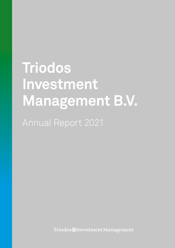# **Triodos Investment Management B.V.**

Annual Report 2021

Triodos@InvestmentManagement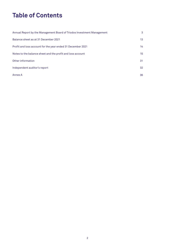# **Table of Contents**

| Annual Report by the Management Board of Triodos Investment Management | 3                |
|------------------------------------------------------------------------|------------------|
| Balance sheet as at 31 December 2021                                   | 13 <sup>°</sup>  |
| Profit and loss account for the year ended 31 December 2021            | 14               |
| Notes to the balance sheet and the profit and loss account             | 15 <sup>15</sup> |
| Other information                                                      | 31               |
| Independent auditor's report                                           | 32               |
| Annex A                                                                | 36               |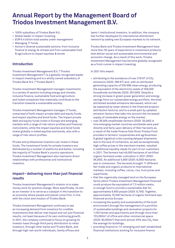# **Annual Report by the Management Board of Triodos Investment Management B.V.**

- 100% subsidiary of Triodos Bank N.V.
- Global leader in impact investing
- EUR 6.4 billion total assets under management
- Managing 17 funds
- Active in diverse sustainable sectors; from inclusive finance to energy & climate and from sustainable food & agriculture to impact equities & bonds

# **Introduction**

Triodos Investment Management B.V. ("Triodos Investment Management") is a globally recognised leader in impact investing and is a wholly owned subsidiary of Triodos Bank N.V. ("Triodos Bank").

Triodos Investment Management manages investments in a variety of sectors including energy and climate, inclusive finance, sustainable food and agriculture and listed companies that materially contribute to the transition towards a sustainable society.

Triodos Investment Management manages 17 funds, comprised of both impact private debt and equity funds and impact equities and bond funds. The impact private debt and equity funds invest in Europe and emerging markets with a range of risk-return profiles and financial instruments, while the impact equities and bond funds invest globally in listed equities and bonds, also with a range of risk-return profiles.

Private and professional investors can invest in these funds. The investment funds for private investors are distributed by a number of platforms and banks, including the majority of Triodos Bank's country operations. Triodos Investment Management also maintains direct relationships with professional and institutional investors.

# **Impact– delivering more than just financial results**

Triodos Investment Management's mission is to make money work for positive change. More specifically, its aim as an investor is to serve as a catalyst in the transition to an economy where people and planet come first, in line with the vision and mission of Triodos Bank.

Triodos Investment Management continues to see an increasing demand from investors for credible investments that deliver real impact and not just financial results, not least because of its own continuing growth. In 2021, the company continued to focus on growing its investor base through third party distribution to retail investors, through other banks and Triodos Bank, and through high-net-worth individuals, family offices and

(semi-) institutional investors. In addition, the company has further developed its international distribution network by adding new European markets to its network.

Triodos Bank and Triodos Investment Management have more than 30 years of experience in investment products that deliver social and sustainable environmental and economic change. As a result of this work, Triodos Investment Management has become globally recognised as a front-runner in impact investing.

#### In 2021 this meant:

- attributing to the avoidance of over 276 KT of CO<sub>2</sub> emissions (2020: 288 KT) and, with an attributed generating capacity of 530 MW clean energy, producing the equivalent of the electricity needs of 259,000 households worldwide (2020: 267,000). Despite a strong increase in green power generation and energy savings from our sustainable energy portfolio, the total attributed avoided emissions decreased, which can be explained by lower shares in the financed projects (attribution factors), and to a small part by updated emission factors that take into account the increased supply of renewable energy on the market;
- over 38,000 smallholder farmers (2020: 35,000) in nine emerging market countries worldwide were paid directly and fairly upon delivery of their harvests as a result of the trade finance that Hivos-Triodos Fund provides to farmers' cooperatives and agribusiness. A global logistical crisis causing delayed shipments due to the lack of containers, as well as exceptionally high coffee prices in the merchant market, resulted in additional liquidity needs for part of our customers in 2021. The farmers had 49,000 hectares of certified organic farmland under cultivation in 2021 (2020: 56,000). An additional 5,800 (2020: 8,000) hectares was in conversion. The harvests brought 11 different fair-trade and organic products to international markets, including coffee, cocoa, rice, fruit juices and superfoods;
- that the organically managed land on the European farms which Triodos Investment Management financed could produce the equivalent of 7.3 million meals, or enough food to provide a sustainable diet for approximately 6,600 people (2020: 6,700). Together, approximately 10,500 hectares of organic farmland was financed across Europe;
- increasing the quality and sustainability of the built environment through the management of a portfolio of sustainable buildings and renovation projects for 1,100 homes and apartments and through more than 133,000m² of office and other commercial space (2020: 80,000m<sup>2</sup>) that emit almost 33% less  $CO<sub>2</sub>$  than the average for buildings;
- providing finance to 111 emerging and well-established financial institutions working for inclusive finance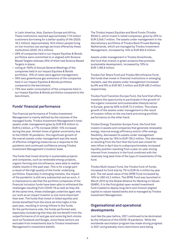in Latin America, Asia, Eastern Europe and Africa. These institutions reached approximately 17.8 million customers borrowing for a better quality of life (2020: 18.2 million). Approximately 18.6 million people living on low incomes use savings services offered by these institutions (2020: 20.2 million).

- 29% of companies held in our Impact Equities & Bonds portfolios were committed to or aligned with Science Based Targets whereas 25% of them had Science Based Targets in place;
- voting at 100% of Annual General Meetings of the companies held in our Impact Equities & Bonds portfolios. 15% of votes were against management;
- 35% less greenhouse gas emissions of the companies held in our Impact Equities & Bonds portfolios compared to the benchmark;
- 73% less water consumption of the companies held in our Impact Equities & Bonds portfolios compared to the benchmark.

# **Funds' financial performance**

The financial performance of Triodos Investment Management is mainly defined by the volumes of the managed funds. Triodos Investment Management's total assets under management grew by EUR 916 million to EUR 6.4 billion, a 17% increase (2020: 12% increase) during the year. Amidst times of global uncertainty due to the COVID-19 pandemic, this significant growth of the overall assets under management was the result of effective mitigating measures as a response to the pandemic and continued confidence among Triodos Investment Management's investor base.

The funds that invest directly in sustainable projects and companies, such as renewable energy projects, organic farming and microfinance, were able to realise stable results in the past year. This is for a large part a result of the high quality of the funds' underlying portfolios. Especially in emerging markets, the impact of the pandemic is still very substantial and as such, it is impressive to see that the portfolio companies of the financial inclusion funds have been able to withstand the challenges resulting from COVID-19 as well as they did. At the same time, these challenges underline again why our work as an impact investor is now more important than ever. The funds that invest in listed equities and bonds benefited from the stock all-time highs in the past year, resulting in strong inflows to the funds. On the performance side, the funds performed well, especially considering that they did not benefit from the outperformance of oil and gas and some big tech stocks such as Facebook and Google, since these sectors are excluded from investments due to Triodos Investment Management's investment beliefs.

The Triodos Impact Equities and Bond Funds (Triodos SICAV l), which invest in listed companies, grew by 25% to EUR 3,049.7 million. The assets under management in the discretionary portfolios of Triodos Bank Private Banking Netherlands, which are managed by Triodos Investment Management, increased by 14% to EUR 902.6 million.

Assets under management in Triodos Groenfonds, the fund that invests in green projects that promote sustainable development, increased by 10% to EUR 1,188.8 million.

Triodos Fair Share Fund and Triodos Microfinance Fund, the funds that invest in financial institutions in emerging markets, saw the assets under management increased by 8% and 9% to EUR 381.3 million and EUR 485.3 million respectively.

Triodos Food Transition Europe Fund, the fund that offers investors the opportunity to participate in the growth of the organic consumer and sustainable lifestyle sector in Europe, grew by 50% to EUR 72.3 million. This sharp growth of the assets under management is the result of investor inflow on the one hand and strong portfolio performance on the other hand.

Triodos Energy Transition Europe Fund, the fund that invests in assets and companies that generate renewable energy, improve energy efficiency and/or offer energy flexibility, decreased its assets under management during the year by 15% to EUR 130.2 million. This decrease is resulting from the fact that the fund was closed for new inflow in April due to a disproportionately increased liquidity position resulting from a year-on-year strong interest from investors in the fund combined with the relatively long lead-time of the type of investments of the fund.

Triodos Multi Impact Fund, the Triodos fund-of-funds, increased its fund size by 7% to EUR 34.4 million by year end. The net asset value of the SFRE Fund increased by 10% to USD 43.2 million. The SFRE Fund was launched in March 2015 by the Global Alliance for Banking on Values (GABV). It is the first global open-ended investment fund created to deploy long-term and mission aligned capital to values-based banks and is managed by Triodos Investment Management.

# **Organisational and operational developments**

Just like the year before, 2021 continued to be dominated by the influence of the COVID-19 pandemic. While the worldwide vaccination program has made strong progress in 2021 and gradually more restrictions were being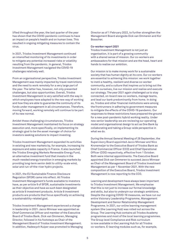lifted throughout the year, the last quarter of the year has shown that the COVID-pandemic continues to have an impact on people's health and on human lives. This resulted in ongoing mitigating measures to contain the virus.

In 2021, Triodos Investment Management continued an intensified monitoring of its investments in order to mitigate any potential increased risks or volatility resulting from the pandemic. In general, Triodos Investment Management navigated the COVID-19 challenges relatively well.

From an organisational perspective, Triodos Investment Management was mainly impacted by travel restrictions and the need to work remotely for a very large part of the year. The latter has, however, not only presented challenges, but also opportunities. Overall, Triodos Investment Management is very satisfied with the way in which employees have adapted to the new way of working and how they are able to guarantee the continuity of its funds under management in all circumstances. Therefore, moving forward, working remotely will continue to be part of its new normal.

Amidst these challenging circumstances, Triodos Investment Management maintained its focus on strategy execution and, more specifically, on implementing its strategic goal to be the asset manager of choice for investors seeking solutions to impact investing.

Triodos Investment Management expanded its activities in existing and new markets by, for example, increasing its exposure and sales capacity in France. It also launched the Triodos Emerging Markets Renewable Energy Fund, an alternative investment fund that invests in the much-needed energy transition in emerging markets by providing long-term senior debt to utility-scale wind, solar and run-of-the-river hydro projects.

In 2021, the EU Sustainable Finance Disclosure Regulation (SFDR) came into effect. All Triodos Investment Management's funds available to investors have, as per article 9 of SFDR, sustainable investments as their objective and have as such been designated as article 9 investment products. Article 9 investment products are products that focus specifically on achieving a sustainability-related goal.

Triodos Investment Management experienced a change in leadership in 2021. Jacco Minnaar was appointed as Chief Commercial Officer and member of the Executive Board of Triodos Bank. Dick van Ommeren, Managing Director, followed in his footsteps as Chair of the Management Board of Triodos Investment Management. In addition, Hadewych Kuiper was promoted to Managing Director as of 1 February 2022, to further strengthen the Management Board alongside Dick van Ommeren and Kor Bosscher.

#### **Co-worker report 2021**

Triodos Investment Management is not just an organisation, it is part of a growing community with a shared sense of mission. Our co-workers are ambassadors for that mission and are the head, heart and hands to realise our ambition.

Our mission is to make money work for a sustainable society that has human dignity at its core. Our co-workers are essential to achieving this mission: we work together to instil a healthy, resilient and diverse co-worker community, and a culture that inspires us to bring out the best in ourselves, live our mission and realise and execute our strategy. The year 2021 again challenged us to stay connected, on-board new co-workers, manage teams, and lead our bank predominantly from home. In doing so, Triodos and other financial institutions were among the frontrunners in adhering to government measures to mitigate the effects of the COVID-19 pandemic. Our responses to these restrictions have prepared the ground for a new post-pandemic hybrid working reality. Under new senior leadership we are reviewing our operating model and organisational design to act as One Bank by collaborating and taking a Group-wide perspective in what we do.

During the Annual General Meeting of 28 September, the Supervisory Board appointed Jacco Minnaar and Nico Kronemeijer to the Executive Board of Triodos Bank as Chief Commercial Officer (CCO) and Chief Operational Officer (COO) respectively, effective from 1 October. Both were internal appointments. The Executive Board appointed Dick van Ommeren to succeed Jacco Minnaar as Chair of the Management Board of Triodos Investment Management as per 1 November 2021. With the new composition of the Executive Board, Triodos Investment Management is now reporting to the CCO.

Learning and development have always been important to Triodos Investment Management. We emphasise that this is not just to increase our formal knowledge and skills, but also to underpin our strategic ambitions. Despite the ongoing COVID-19 measures, we have run our entire Visionary Leadership Programme, Management Development and Senior Relationship Management Programme. In 2021, our online learning management system (the Learning Hub) was rolled out across the Group. The Learning Hub contains all Triodos Academy programmes and most of the local learning programmes. The Group level Compliance and Risk curriculum is now available in the Learning Hub for all Triodos co-workers. E-learning modules such as, for example,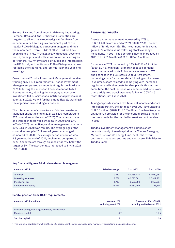General Risk and Compliance, Anti-Money Laundering, Personal Data, and Anti-Bribery and Corruption are targeted to all and have received great feedback from our community. Learning is a prominent part of the regular FLOW-Dialogues between managers and their team members. Overall, 95% of all co-workers have been trained in FLOW-Dialogues, with special sessions for HR, managers, and with some co-workers acting as co-trainers. FLOW forms are digitalised and integrated in the HR Portal, and continuous FLOW-Dialogues are now replacing the traditional one-off mid-year and year-end meetings.

Co-workers at Triodos Investment Management received training on MiFID II requirements. Triodos Investment Management passed an important regulatory hurdle in 2021 following the successful assessment of its MiFID II competencies, allowing the company to now offer investment MiFID-services to institutional professional clients. In 2022, we will further embed flexible working in the organisation including our policies.

The total number of co-workers at Triodos Investment Management at the end of 2021 was 220 (compared to 207 co-workers at the end of 2020). The balance of men and women in total was 53% (52% in 2020) and 47% (48% in 2020) respectively and in management positions 33% (41% in 2020) was female. The average age of the co-worker group in 2021 was 42 years, unchanged compared to 2020. The average period of service was 4.8 years at the end of 2021, unchanged compared to 2020. Absenteeism through sickness was 1%, below the target of 3%. The attrition rate increased to 11% in 2021 (7% in 2020).

#### **Key financial figures Triodos Investment Management**

# **Amounts in EUR Relative change 31-12-2021 31-12-2020** Turnover 9.7% 51,485,415 46,939,263 Operating expenses 12.7% 42,743,361 37,917,202 Profit after tax -1.7% 6,535,956 6,650,987 Shareholders' equity 36.7% 24,331,750 17,795,794

#### **Capital position from ICAAP requirements**

| <b>Amounts in EUR x million</b>                                        | Year-end 2021<br>excluding result 2021 | Forecasted: End of 2022,<br>including audited result 2021 |
|------------------------------------------------------------------------|----------------------------------------|-----------------------------------------------------------|
| Available equity, including mandatory corrections*<br>Required capital | 17.8<br>8.7                            | 24.3<br>11.5                                              |
| Surplus capital                                                        | 9.1                                    | 12.8                                                      |

\* The available capital differs from the equity position in the balance sheet due to mandatory corrections in unaudited results.

# **Financial results**

Assets under management increased by 17% to EUR 6.4 billion at the end of 2021 (2020: 12%). The net inflow of funds was 11%. The investment funds overall gained 6% of their value following stock exchange movements in 2021. The operating income increased by 10% to EUR 51.5 million (2020: EUR 46.9 million).

Expenses in 2021 increased by 13% to EUR 42.7 million (2020: EUR 37.9 million), primarily because of higher co-worker related costs following an increase in FTE and changes in the Collective Labour Agreement, increasing costs for market data following our increase in volumes, costs related to complying with increased regulation and higher costs for Group activities. At the same time, the cost increase was dampened due to lower than anticipated travel expenses following COVID-19 restrictions, just like in 2020.

Taking corporate income tax, financial income and costs into consideration, the net result over 2021 amounted to EUR 6.5 million (2020: EUR 6.7 million). Due to a likely tax obligation, a provision for the amount of EUR 2.2 million has been made for the carried interest amount received in 2019.

Triodos Investment Management's balance sheet consists mainly of seed capital in the Triodos Emerging Markets Renewable Energy Fund, cash, short-term debtors on managed entities and short-term liabilities to Triodos Bank.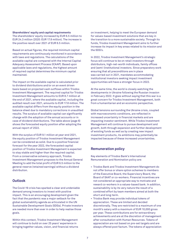#### **Shareholders' equity and capital requirements** The shareholders' equity increased by EUR 6.5 million to EUR 24.3 million (2020: EUR 17.8 million). The increase is the positive result over 2021 of EUR 6.5 million.

Based on actual figures, the required minimum capital requirements are continuously monitored in accordance with laws and regulations. The calculations of the available capital are compared with the Internal Capital Adequacy Assessment Process (ICAAP). Based upon applicable laws and regulations, the highest amount of required capital determines the minimum capital maintained.

The impact on the available capital is calculated prior to dividend distributions and/or on an event driven basis based on projected cash outflows within Triodos Investment Management. The required capital for Triodos Investment Management amounts to EUR 8.7 million at the end of 2021, where the available capital, including the audited result over 2021, amounts to EUR 17.8 million. The available capital differs from the equity position in the balance sheet due to mandatory corrections in unaudited results. The surplus of available capital can significantly change with the adoption of the annual accounts or in case of dividend distributions. The table above (page 6) shows the forecasted equity position after adopting the annual report of 2022.

With the surplus of EUR 9.1 million at year-end 2021, the equity position of Triodos Investment Management can be considered as solid. Due to a positive financial forecast for the year 2022, the forecasted capital position of Triodos Investment Management is expected to stay stable and higher than the required capital. From a conservative solvency approach, Triodos Investment Management proposes to the Annual General Meeting to add the total profit of EUR 6.5 million to the general reserve (retained earnings) without a dividend distribution.

# **Outlook**

The Covid-19 crisis has sparked a clear and undeniable demand among investors to invest with positive impact. This is an encouraging development given the fact that the pandemic was a major setback for the global sustainability agenda as articulated in the UN Sustainable Development Goals (SDGs). Private investors are needed more than ever in order to help realise those goals.

Within this context, Triodos Investment Management will continue to build on over 25 years' experience in bringing together values, vision, and financial returns

on investment, helping to meet the European demand for values-based investment solutions that are key in the transition to a more sustainable society. Through its funds, Triodos Investment Management aims to further increase its impact in key areas related to its mission and the SDG's.

In 2022, Triodos Investment Management's strategic focus will continue to be on retail investors through distributors, high-net-worth individuals, family offices and (semi-)institutional investors. Since preparatory work ensuring that all preconditions are in place was carried out in 2021, mandates accommodating institutional investors seeking impact investment opportunities will have a stronger focus in 2022.

At the same time, the world is closely watching the developments in Ukraine following the Russian invasion in February 2022. It goes without saying that this war is a great concern for Triodos Investment Management, both from a humanitarian and an economic perspective.

Global tensions surrounding the Ukraine crisis, coupled with macroeconomic conditions, are reflected in increased uncertainty in financial markets and are impacting investor sentiment. While Triodos Investment Management will continue to pursue development and growth, both through expansion and further development of existing funds as well as by creating new impact investment products, its ambitions may potentially be impacted because of these increased uncertainties.

# **Remuneration policy**

Key elements of Triodos Bank's International Remuneration and Nomination policy are:

- Triodos Bank and Triodos Investment Management do not offer bonus or share option schemes to members of the Executive Board, the Supervisory Board, the Board of SAAT or co-workers. Financial incentives are not considered an appropriate way to motivate and reward co-workers in a values-based bank. In addition, sustainability is by its very nature the result of a combined effort by team members aimed at both the short and long-term.
- Triodos Bank may provide individual tokens of appreciation. These are limited and decided discretionally. They are restricted to a maximum of one month's salary with a maximum of EUR 10,000 gross per year. These contributions are for extraordinary achievements and are at the discretion of management after consultation with Human Resources. Tokens of appreciation are not based on pre-set targets and are always offered post factum. The tokens of appreciation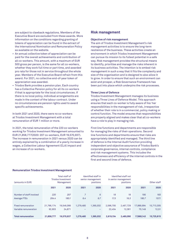are subject to clawback regulations. Members of the Executive Board are excluded from these awards. More information on the conditions regarding granting of tokens of appreciation can be found in the extract of the International Nomination and Remuneration Policy as available on the website.

- An annual collective token of appreciation can be paid for the overall achievements and contribution of all co-workers. This amount, with a maximum of EUR 500 gross per person, is the same for all co-workers, whether they work full time or part time, and awarded pro rata for those not in service throughout the whole year. Members of the Executive Board refrain from this award. For 2021, no collective end-of-year token of appreciation was awarded.
- Triodos Bank provides a pension plan. Each country has a Collective Pension policy for all its co-workers if that is appropriate for the local circumstances. If there is no local policy, individual arrangements are made in the context of the labour contract. Under no circumstances are pension rights used to award specific achievements.

In both 2021 and 2020, there were no co-workers at Triodos Investment Management with a total remuneration of EUR 1 million or more.

In 2021, the total remuneration of the 220 co-workers working for Triodos Investment Management amounted to EUR 21,858,777(2020: 207 co-workers, EUR 19,570,937). The increase in remuneration in 2021 versus 2020 can be entirely explained by a combination of a yearly increase in wages, a Collective Labour Agreement (CLA) impact and an increase of co-workers.

### **Risk management**

#### **Objective of risk management**

The aim of Triodos Investment Management's risk management activities is to ensure the long-term resilience of the business. These activities create an environment in which Triodos Investment Management can pursue its mission to its fullest potential in a safe way. Risk management provides the structural means to identify, prioritise and manage the risks inherent in its business activities. The intention is to embed risk management in such a way that it fits the complexity and size of the organisation and is designed to also allow it to grow. In order to ensure that such an environment can exist and prosper, a Risk Governance Framework has been put into place which underpins the risk processes.

#### **Three Lines of Defence**

Triodos Investment Management manages its business using a Three Lines of Defence Model. This approach ensures that each co-worker is fully aware of his/ her responsibilities in the management of risk, irrespective of whether their role is in a commercial, policy making or control function. The model ensures that responsibilities are properly aligned and makes clear that all co-workers have a role to play in managing risk.

First line functions and departments are responsible for managing the risks of their operations. Second line functions and departments ensure that risks are appropriately identified and managed. The third line of defence is the Internal Audit function providing independent and objective assurance of Triodos Bank's corporate governance, internal controls, compliance and risk management systems. This includes the effectiveness and efficiency of the internal controls in the first and second lines of defence.

| (amounts in EUR)          |            | Total staff of<br><b>Triodos Investment</b><br>Management |           | Identified staff in<br>senior management<br>positions |           | Identified staff not<br>in senior management<br>positions |            | Other staff |
|---------------------------|------------|-----------------------------------------------------------|-----------|-------------------------------------------------------|-----------|-----------------------------------------------------------|------------|-------------|
|                           | 2021       | 2020                                                      | 2021      | 2020                                                  | 2021      | 2020                                                      | 2021       | 2020        |
| Number of staff involved  | 220        | 207                                                       | 7         | 6                                                     | 18        | 18                                                        | 195        | 183         |
| Average FTEs              | 204.4      | 180.1                                                     | 6.4       | 6.7                                                   | 17.3      | 16.3                                                      | 180.7      | 157.1       |
| <b>Fixed remuneration</b> | 21,766,174 | 19.546.066                                                | 1.279.480 | 1.365.032                                             | 2.596.700 | 2,467,729                                                 | 17.889.994 | 15,713,305  |
| Variable remuneration     | 92.603     | 24,871                                                    |           |                                                       | 22.454    | 12.361                                                    | 70.149     | 12,51       |
| <b>Total remuneration</b> | 21,858,777 | 19,570,937                                                | 1,279,480 | 1,365,032                                             | 2,619,154 | 2,480,090                                                 | 17,960,143 | 15,725,815  |

#### **Remuneration Triodos Investment Management**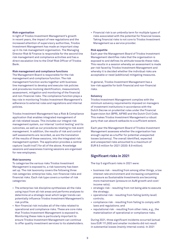#### **Risk organisation**

In light of Triodos Investment Management's growth in recent years, the impact of new regulations and the increased attention of supervisory authorities, Triodos Investment Management has made an important step up in its risk management organisation. The Managing Director Risk & Finance is responsible for the second line risk management and compliance activities and has a direct escalation line to the Chief Risk Officer of Triodos Bank.

#### **Risk management and compliance functions**

The Management Board is responsible for the risk management and compliance function. The risk management function works together with business line management to develop and execute risk policies and procedures involving identification, measurement, assessment, mitigation and monitoring of the financial and non-financial risks. The compliance function plays a key role in monitoring Triodos Investment Management's adherence to external rules and regulations and internal policies.

Triodos Investment Management has a Risk & Compliance application that enables integrated management of all risk related issues. This includes our integral risk management system, our internal 'control testing' and its outcomes, as well as our procedures relating to risk event management. In addition, the results of risk and control self-assessments are recorded, as are the translation of the results of these sessions, into the integrated risk management system. The application provides a central capture ('audit trail') for all of the above. Knowledge sessions and awareness training sessions are organised for new employees.

#### **Risk taxonomy**

To categorise the various risks Triodos Investment Management is exposed to, a risk taxonomy has been set up. The risk taxonomy covers the following three risk categories: enterprise risks, non-financial risks and financial risks. Each risk type covers a number of risk categories:

- The enterprise risk discipline synthesises all the risks using input from all risk areas and performs analyses to determine at a strategic level which larger trends can potentially influence Triodos Investment Management's risk profile.
- Non-financial risk includes all of the risks related to operational and compliance risks. These are core risks that Triodos Investment Management is exposed to. Monitoring these risks is particularly important to ensure Triodos Investment Management can continue to offer quality investment services to its stakeholders.

• Financial risk is an umbrella term for multiple types of risks associated with the potential for financial losses. Taking financial risks is not core to Triodos Investment Management as a service provider.

#### **Risk appetite**

Each year the Management Board of Triodos Investment Management identifies risks that the organisation is exposed to and defines its attitude towards these risks. This results in a session whereby an assessment is made per risk faced by Triodos Investment Management and whereby it is decided whether the individual risks are acceptable or need (additional) mitigating measures.

In general, Triodos Investment Management has a low-risk appetite for both financial and non-financial risks.

#### **Solvency**

Triodos Investment Management complies with the minimum solvency requirements imposed on managers of investment institutions in accordance with the Dutch Decree on prudential rules under the Financial Supervision Act (BPR), AIFMD and the Dutch Civil Code. This makes Triodos Investment Management a robust party that can absorb setbacks to a sufficient extent.

Each year the Management Board of Triodos Investment Management assesses whether the organisation has enough capital as a buffer for potential unexpected losses (solvency). The overall identified, expected and unexpected risks amounted to a maximum of EUR 9.5 million for 2021 (2020: 8.9 million).

### **Significant risks in 2021**

The top 5 significant risks in 2021 were:

- business risk resulting from among other things, a low interest rate environment and increasing competitive pressure as Sustainable Investments are becoming more mainstream (pressure on AuM growth and cost/ income ratio);
- strategic risk resulting from not being able to execute the strategy;
- operational risk resulting from failing (entity level) controls;
- compliance risk resulting from failing to comply with laws and regulations; and
- reputational risk resulting from other risks, e.g., the materialisation of operational or compliance risks.

During 2021, three significant incidents occurred (actual loss EUR 111,000) and smaller incidents did not result in substantial losses (mainly internal costs). In 2021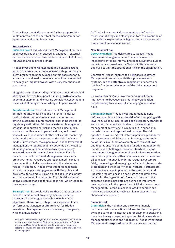Triodos Investment Management further prepared the implementation of the new tool for the management of operational and compliance risks.

#### **Enterprise risk**

**Business risk:** Triodos Investment Management defines business risk as the risk caused by changes in external factors such as competitive relationships, stakeholders, reputation and business climate.

Triodos Investment Management anticipated a strong growth of assets under management with, potentially, a slight pressure on prices. Based on this base scenario, a risk that would lead to an operational loss is expected to be high on impact however with a very low chance of occurrence.

Mitigation is implemented by income and cost control and strategic initiatives to support further growth of assets under management and ensuring our acknowledgement in the market of being an acknowledged Impact Investor.

**Reputational risk:** Triodos Investment Management defines reputational risk as the risk that its market position deteriorates due to a negative perception among customers, counterparties, shareholders and/or regulatory authorities. Triodos Investment Management safeguards reputational risk in other risk disciplines, such as compliance and operational risk, as in most cases it is a consequence of other risk events<sup>1</sup> occurring. It also works with a transparent and stable business model. Furthermore, the exposure of Triodos Investment Management to reputational risk depends on the ability of management and co-workers to act consciously in accordance with the mission and values. For this reason, Triodos Investment Management has a very proactive human resources approach aimed to ensure the connection of all co-workers with the mission and values. In addition, Triodos Investment Management actively manages its engagement with the public and its clients, for example, via an online social media policy and management of complaints. For this risk a similar analysis can be made as for business risk, which leads to the same outcome.

**Strategic risk:** Strategic risks are those that potentially have the most impact on an organisation's ability to execute its strategies and achieve its business objectives. Therefore, strategic risk assessments are performed at Management Board level for Triodos Investment Management as a whole every three years, with an annual update.

As Triodos Investment Management has defined its three-year strategy and closely monitors the execution of it, this risk is expected to be high on impact however with a very low chance of occurrence.

#### **Non-financial risk**

**Operational risk:** This risk relates to losses Triodos Investment Management could incur as a result of inadequate or failing internal processes, systems, human behaviour or external events. Various initiatives were deployed to limit the operational risks in the organisation.

Operational risk is inherent to all Triodos Investment Management products, activities, processes and systems, and the effective management of operational risk is a fundamental element of the risk management programme.

Co-worker training and involvement support these improvements because, as a learning organisation, people are key to successfully managing operational risks.

**Compliance risk:** Triodos Investment Management defines compliance risk as the risk of not complying with laws, regulations, rules, related self-regulatory standards and codes of conduct applicable to its investment management activities. This may result in sanctions, material losses and reputational damage. The risk appetite is low for this risk. Internal policies, procedures and awareness activities are in place to guarantee that co-workers in all functions comply with relevant laws and regulations. The compliance function independently monitors and challenges the extent to which Triodos Investment Management complies with laws, regulations and internal policies, with an emphasis on customer due diligence, anti-money laundering, treating customers fairly, preventing and managing conflicts of interest, data protection and the integrity of co-workers. Furthermore, a process has been implemented to identify new and upcoming regulations in an early stage and define the impact for the organisation. Based on the size of the expected change, projects are defined to implement new regulations in the operations of Triodos Investment Management. Potential losses related to compliance risks were assessed as having a high impact with low chance of occurrence.

#### **Financial risk**

**Credit risk** is the risk that one party to a financial instrument will cause a financial loss for the other party by failing to meet its interest and/or payment obligations, therefore having a negative impact on Triodos Investment Management's profits and net assets. Triodos Investment Management is exposed to credit risk on cash held at

<sup>1</sup> A situation whereby the organisation becomes exposed to a financial loss or reputational damage. Risk events are monitored by Triodos Investment Management and risk events are used to implement better procedures and controls in order to prevent the situation from occurring again.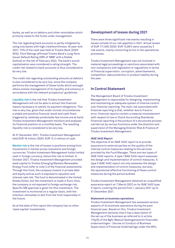banks, as well as on debtors and other receivables which primarily relate to the funds under management.

The risk regarding bank accounts is partly mitigated by using only banks with high creditworthiness. At year-end 2021, 73% of the cash was held at Triodos Bank (2020: 93%). Fitch Ratings affirmed Triodos Bank's Long-Term Issuer Default Rating (IDR) of 'BBB' with a Stable Outlook on the 4th of February 2022. The bank's sound capitalisation was considered a rating strength. The credit risk related to bank accounts is thus considered to be very low.

The credit risk regarding outstanding amounts at debtors is also considered to be very low, since the company performs the management of these funds which amongst others entails management of its liquidity and solvency in accordance with the relevant prospectus' guidelines.

**Liquidity risk** is the risk that Triodos Investment Management will not be able to attract the financial means necessary to satisfy its payment obligations. This risk is very low, given that under normal circumstances a stable and positive financial result and cash flows triggered by relatively predictable fee income are at hand. Triodos Investment Management monitors and analyses its financial position on a monthly basis. The resulting liquidity risk is considered to be very low.

At 31 December 2021, Triodos Investment Management held EUR 16 million (2020: EUR 12.2 million) of cash.

**Market risk** is the risk of losses in positions arising from movements in market prices (valuation) and foreign currencies. Triodos Investment Management holds limited cash in foreign currency, hence this risk is limited. In October 2021, Triodos Investment Management provided seed capital to Triodos Emerging Markets Renewable Energy Fund (refer to note 3 of the financial statements). Through this fund, the company invests in private debt and equity and as such is exposed to valuation and interest rate risk. The fund is denominated in the United States Dollar, but the investment is made in Euro; thus, the company is not exposed to foreign exchange risk. Specific MB approval is given for this investment. The investment is monitored on a regular basis, with the intention ultimately to exit from the fund responsibly in the future.

As at the date of this report the company has no other 'seed capital' investments.

### **Development of losses during 2021**

There were three significant risk events resulting in losses outside of our risk appetite in 2021. Actual losses of EUR 111,000 (2020: EUR 12,861) were caused by 3 risk events, mainly concerning errors in the operational processes.

Triodos Investment Management was not involved in material legal proceedings or sanctions associated with non-compliance with legislation or regulations in terms of financial supervision, corruption, advertisements, competition, data protection or product liability during the year.

# **In Control Statement**

The Management Board of Triodos Investment Management is responsible for designing, implementing and maintaining an adequate system of internal control over financial reporting. The main risk associated with financial reporting is that, whether due to fraud or error, financial reports contain a material misstatement with respect to law or Dutch Accounting Standards. Financial reporting is the product of a structured process carried out by various functions under the direction and supervision of the Managing Director Risk & Finance of Triodos Investment Management.

#### **ISAE 3402 Report**

The objective of an ISAE 3402 report is to provide assurance to external parties on the quality of the internal control measures relating to the services provided by the Fund Manager. There are two types of ISAE 3402 reports. A type I ISAE 3402 report assesses the design and implementation of control measures. A type II ISAE 3402 report not only assesses the design and implementation of control measures, but also the operational effective functioning of these control measures during the period audited.

Triodos Investment Management obtained an unqualified assurance report on 7 March 2022 on its ISAE 3402 type II report, covering the period from 1 January 2021 up to 31 December 2021.

#### **Statement on business operations**

Triodos Investment Management has assessed various aspects of its business operations during the past financial year. Based on this, Triodos Investment Management declares that it has a description of the set-up of the business as referred to in article 115y(5) of the Bgfo (Besluit Gedragstoezicht financiële ondernemingen - Decree on Conduct of Business Supervision of Financial Undertakings under the Wft),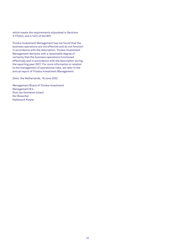which meets the requirements stipulated in Sections 3:17(2)(c), and 4:14(1) of the Wft.

Triodos Investment Management has not found that the business operations are not effective and do not function in accordance with the description. Triodos Investment Management declares with a reasonable degree of certainty that the business operations functioned effectively and in accordance with the description during the reporting year 2021. For more information in relation to the management of operational risks, we refer to the annual report of Triodos Investment Management.

Zeist, the Netherlands, 16 June 2022

Management Board of Triodos Investment Management B.V. Dick van Ommeren (chair) Kor Bosscher Hadewych Kuiper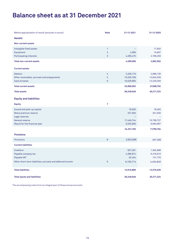# **Balance sheet as at 31 December 2021**

| Before appropriation of result (amounts in euros)                                                                                | <b>Note</b>                             | 31-12-2021                                   | 31-12-2020                                     |
|----------------------------------------------------------------------------------------------------------------------------------|-----------------------------------------|----------------------------------------------|------------------------------------------------|
| <b>Assets</b>                                                                                                                    |                                         |                                              |                                                |
| <b>Non-current assets</b>                                                                                                        |                                         |                                              |                                                |
| Intangible fixed assets<br>Equipment<br>Participating interests                                                                  | $\mathbf{1}$<br>$\overline{2}$<br>3     | $\equiv$<br>4,586<br>4,285,470               | 17,602<br>15,697<br>2,769,263                  |
| <b>Total non-current assets</b>                                                                                                  |                                         | 4,290,056                                    | 2,802,562                                      |
| <b>Current assets</b>                                                                                                            |                                         |                                              |                                                |
| <b>Debtors</b><br>Other receivables, accruals and prepayments<br>Cash at banks                                                   | 4<br>$\overline{5}$<br>$\boldsymbol{6}$ | 2,400,719<br>15,529,189<br>16,028,685        | 2,698,130<br>12,640,339<br>12,230,293          |
| <b>Total current assets</b>                                                                                                      |                                         | 33,958,593                                   | 27,568,762                                     |
| <b>Total assets</b>                                                                                                              |                                         | 38,248,649                                   | 30,371,324                                     |
| <b>Equity and liabilities</b>                                                                                                    |                                         |                                              |                                                |
| <b>Equity</b>                                                                                                                    | 7                                       |                                              |                                                |
| Issued and paid-up capital<br>Share premium reserve<br>Legal reserves<br><b>General reserve</b><br>Result for the financial year |                                         | 18,500<br>327,550<br>17,449,744<br>6,535,956 | 18,500<br>327,550<br>10,798,757<br>6,650,987   |
|                                                                                                                                  |                                         | 24,331,750                                   | 17,795,794                                     |
| <b>Provisions</b>                                                                                                                |                                         |                                              |                                                |
| <b>Provisions</b>                                                                                                                | 8                                       | 2,623,666                                    | 407,306                                        |
| <b>Current liabilities</b>                                                                                                       |                                         |                                              |                                                |
| <b>Creditors</b><br>Payable company tax<br>Payable VAT<br>Other short-term liabilities, accruals and deferred income             | $\overline{9}$                          | 657,391<br>4,389,674<br>52,454<br>6,193,714  | 1,362,898<br>6,218,910<br>131,776<br>4,454,640 |
|                                                                                                                                  |                                         |                                              |                                                |
| <b>Total liabilities</b>                                                                                                         |                                         | 13,916,899                                   | 12,575,530                                     |
| <b>Total equity and liabilities</b>                                                                                              |                                         | 38,248,649                                   | 30,371,324                                     |

The accompanying notes form an integral part of these annual accounts.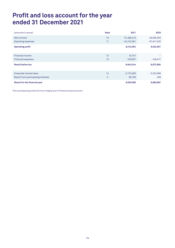# **Profit and loss account for the year ended 31 December 2021**

| (amounts in euros)                  | <b>Note</b> | 2021          | 2020          |
|-------------------------------------|-------------|---------------|---------------|
| Net turnover                        | 10          | 51,485,415    | 46,939,263    |
| <b>Operating expenses</b>           | 11          | $-42,743,361$ | $-37,917,202$ |
| <b>Operating profit</b>             |             | 8,742,054     | 9,022,061     |
| <b>Financial income</b>             | 12          | 10,747        |               |
| <b>Financial expenses</b>           | 13          | $-109,557$    | $-148,477$    |
| <b>Result before tax</b>            |             | 8,643,244     | 8,873,584     |
| Corporate income taxes              | 14          | $-2,173,483$  | $-2,223,096$  |
| Result from participating interests | 3           | 66,195        | 499           |
| Result for the financial year       |             | 6,535,956     | 6,650,987     |

The accompanying notes form an integral part of these annual accounts.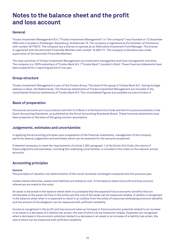# **Notes to the balance sheet and the profit and loss account**

# **General**

Triodos Investment Management B.V. ("Triodos Investment Management" or "the company") was founded on 12 December 2000 and is located in Driebergen-Rijsenburg, Hoofdstraat 10. The company is registered at the Chamber of Commerce with number 30170072. The company has a license to operate as an Alternative Investment Fund Manager. The license is registered with the Autoriteit Financiële Markten with number 15.000.171. The company is therefore also under supervision of the Autoriteit Financiële Markten.

The main activities of Triodos Investment Management are investment management and fund management activities. The company is a 100% subsidiary of Triodos Bank N.V. ("Triodos Bank") located in Zeist. These financial statements have been prepared for a reporting period of one year.

# **Group structure**

Triodos Investment Management is part of the Triodos Group. The head of this group is Triodos Bank N.V., having its legal address in Zeist, the Netherlands. The financial statements of Triodos Investment Management are included in the consolidated financial statements of Triodos Bank N.V. The consolidated figures are available via [www.triodos.nl.](http://www.triodos.nl/)

# **Basis of preparation**

The annual accounts are in accordance with Part 9 of Book 2 of the Dutch Civil Code and the firm pronouncements in the Dutch Accounting Standards, as published by the Dutch Accounting Standards Board. These financial statements have been prepared on the basis of the going concern assumption.

## **Judgements, estimates and uncertainties**

In applying the accounting principles upon preparation of the financial statements, management of the company performs several judgements and estimates which can be essential for the amounts presented.

If deemed necessary to meet the requirements of article 2:362 paragraph 1 of the Dutch Civil Code, the nature of these judgments and estimates, including the underlying uncertainties, is included in the notes on the relevant annual accounts.

# **Accounting principles**

#### **General**

The principles of valuation and determination of the result remained unchanged compared with the previous year.

Unless stated otherwise, assets and liabilities are stated at cost. In the balance sheet and profit and loss account, references are made to the notes.

An asset is disclosed in the balance sheet when it is probable that the expected future economic benefits that are attributable to the asset will flow to the entity and the cost of the asset can be measured reliably. A liability is recognised in the balance sheet when it is expected to result in an outflow from the entity of resources embodying economic benefits and the amount of the obligation can be measured with sufficient reliability.

Income is recognised in the profit and loss account when an increase in future economic potential related to an increase in an asset or a decrease of a liability has arisen, the size of which can be measured reliably. Expenses are recognised when a decrease in the economic potential related to a decrease in an asset or an increase of a liability has arisen, the size of which can be measured with sufficient reliability.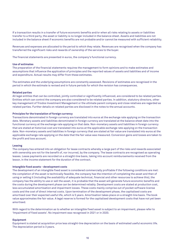If a transaction results in a transfer of future economic benefits and/or when all risks relating to assets or liabilities transfer to a third party, the asset or liability is no longer included in the balance sheet. Assets and liabilities are not included in the balance sheet if economic benefits are not probable and/or cannot be measured with sufficient reliability.

Revenues and expenses are allocated to the period to which they relate. Revenues are recognised when the company has transferred the significant risks and rewards of ownership of the services to the buyer.

The financial statements are presented in euros, the company's functional currency.

#### **Use of estimates**

The preparation of the financial statements requires the management to form opinions and to make estimates and assumptions that influence the application of principles and the reported values of assets and liabilities and of income and expenditure. Actual results may differ from these estimates.

The estimates and the underlying assumptions are constantly assessed. Revisions of estimates are recognised in the period in which the estimate is revised and in future periods for which the revision has consequences.

#### **Related parties**

All legal entities that can be controlled, jointly controlled or significantly influenced, are considered to be related parties. Entities which can control the company are also considered to be related parties. In addition, statutory directors, other key management of Triodos Investment Management or the ultimate parent company and close relatives are regarded as related parties. Further details on related parties are disclosed in the notes to the annual accounts.

#### **Principles for the translation of foreign currency**

Transactions denominated in foreign currency are translated into euros at the exchange rate applying on the transaction date. Monetary assets and liabilities denominated in foreign currency are translated at the balance sheet date into the functional currency at the exchange rate applying on that date. Non-monetary assets and liabilities in foreign currency that are stated at historical cost are translated into euros at the applicable exchange rate applying on the transaction date. Non-monetary assets and liabilities in foreign currency that are stated at fair value are translated into euros at the applicable exchange rate applying on the date that the fair value was measured. Conversion gains and losses are taken to the profit and loss account.

#### **Leasing**

The company has entered into an obligation for lease contracts whereby a large part of the risks and rewards associated with ownership are not for the benefit of, nor incurred, by the company. The lease contracts are recognised as operating leases. Lease payments are recorded on a straight-line basis, taking into account reimbursements received from the lessor, in the income statement for the duration of the contract.

#### **Intangible fixed assets - development costs**

The development of an intangible fixed asset is considered commercially profitable if the following conditions are met: the completion of the asset is technically feasible, the company has the intention of completing the asset and then of using or selling it (including the availability of adequate technical, financial and other resources to achieve this), the company has the ability to use or sell the asset, it is probable that the asset will generate future economic benefits and the costs during the development phase can be determined reliably. Development costs are stated at production cost, less accumulated amortisation and impairment losses. These costs mainly comprise out of pocket software license costs and the cost of direct internal costs. Upon termination of the development phase, the capitalised costs are amortised over their expected useful life, which is 5 years. Amortisation takes place on a straight-line basis. The book value approximates the fair value. A legal reserve is formed for the capitalised development costs that have not yet been amortised.

With regard to the determination as to whether an intangible fixed asset is subject to an impairment, please refer to 'Impairment of fixed assets'. No impairment was recognised in 2021 or in 2020.

#### **Equipment**

Equipment is stated at acquisition price less straight-line depreciation on the basis of estimated useful economic life. The depreciation period is 3 years.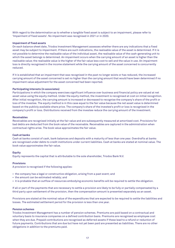With regard to the determination as to whether a tangible fixed asset is subject to an impairment, please refer to 'Impairment of fixed assets'. No impairment was recognised in 2021 or in 2020.

#### **Impairment of fixed assets**

On each balance sheet date, Triodos Investment Management assesses whether there are any indications that a fixed asset may be subject to impairment. If there are such indications, the realisable value of the asset is determined. If it is not possible to determine the realisable value of the individual asset, the realisable value of the cash-generating unit to which the asset belongs is determined. An impairment occurs when the carrying amount of an asset is higher than the realisable value; the realisable value is the higher of the fair value less cost to sell and the value in use. An impairment loss is directly recognised in the income statement while the carrying amount of the asset concerned is concurrently reduced.

If it is established that an impairment that was recognised in the past no longer exists or has reduced, the increased carrying amount of the asset concerned is set no higher than the carrying amount that would have been determined if no impairment value adjustment for the asset concerned had been reported.

#### **Participating interests (in associates)**

Participations in which the company exercises significant influence over business and financial policy are valued at net asset value using the equity method. Under the equity method, the investment is recognised at cost on initial recognition. After initial recognition, the carrying amount is increased or decreased to recognise the company's share of the profit or loss of the investee. The equity method is in this case equal to the fair value because the net asset value is determined based on the publicly available share price. The company's share of the investee's profit or loss is recognised in the company's profit or loss. Distributions received from the investee reduce the carrying amount of the investment.

#### **Receivables**

Receivables are recognised initially at the fair value and are subsequently measured at amortised cost. Provisions for bad debts are deducted from the book value of the receivable. Receivables are captured in the administration when contractual rights arise. The book value approximates the fair value.

#### **Cash at banks**

Cash at banks consist of cash, bank balances and deposits with a maturity of less than one year. Overdrafts at banks are recognised under debts to credit institutions under current liabilities. Cash at banks are stated at nominal value. The book value approximates the fair value.

#### **Equity**

Equity represents the capital that is attributable to the sole shareholder, Triodos Bank N.V.

#### **Provisions**

A provision is recognised if the following applies:

- the company has a legal or constructive obligation, arising from a past event; and
- the amount can be estimated reliably; and
- it is probable that an outflow of resources embodying economic benefits will be required to settle the obligation.

If all or part of the payments that are necessary to settle a provision are likely to be fully or partially compensated by a third party upon settlement of the provision, then the compensation amount is presented separately as an asset.

Provisions are stated at the nominal value of the expenditures that are expected to be required to settle the liabilities and losses. The estimated settlement period for the provision is less than one year.

#### **Pension schemes**

Triodos Investment Management has a number of pension schemes. Premiums are paid based on a contractual and voluntary basis to insurance companies on a defined contribution basis. Premiums are recognised as employee cost when they are due. Prepaid contributions are recognised as deferred assets if these lead to a refund or reduction of future payments. Contributions that are due but have not yet been paid are presented as liabilities. There are no other obligations in addition to the premiums paid.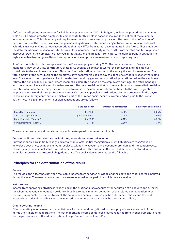Defined benefit plans were present for Belgium employees during 2021. In Belgium, legislation prescribes a minimum yield 1.75% and requires the employer to compensate for this yield in case the insurer does not meet the minimum legal requirements. This minimum yield requirement results in an actuarial provision. The cost of the defined benefit pension plan and the present value of the pension obligation are determined using actuarial valuations. An actuarial valuation involves making various assumptions that may differ from actual developments in the future. These include the determination of the discount rate, future salary increases, mortality rates, staff turnover rates and future pension increases. Due to the complexities involved in the valuation and its long-term nature, the defined benefit obligation is highly sensitive to changes in these assumptions. All assumptions are reviewed at each reporting date.

A defined contribution plan was present for the France employee during 2021. The pension system in France is a mandatory, pay-as-you-go, contributory system. As soon as an employee works, the employee and the employer contribute to the employee's pension. This contribution is defined according to the salary the employee receives. The total amount of the contributions the employee pays each year is used to pay the pensions of the retirees for that same year. The system thus organises a direct transfer from working generations to retired generations. When the employee retires, the pension (i.e., your retirement income) is calculated based on the employee's earnings, the retirement age and the number of years the employee has worked. The only provisions that can be calculated are those called provision for retirement indemnity. This provision is used to evaluate the amount of retirement benefits that will be granted to employees at the end of their professional career. Currently all pension contributions are thus processed in the payroll. These are mandatory contributions which are part of the French social security system and are paid to the French authorities. The 2021 retirement pension contributions are as follows:

|                          | Base per month     | <b>Employee's contribution</b> | <b>Employer's contribution</b> |
|--------------------------|--------------------|--------------------------------|--------------------------------|
| Sécu. Soc Plafonnée      | 3.428.00           | 6.90%                          | 8.55%                          |
| Sécu. Soc Déplafonnée    | gross salary total | 0.40%                          | 1.90%                          |
| Complémentaire Tranche 1 | 3.428.00           | 4.15%                          | 6.22%                          |
| Complémentaire Tranche 2 | 27.424             | 9.86%                          | 14.78%                         |

There are currently no additional company or industry pension schemes applicable.

#### **Current liabilities: other short-term liabilities, accruals and deferred income**

Current liabilities are initially recognised at fair value. After initial recognition current liabilities are recognised at amortised cost price, being the amount received, taking into account any discount or premium and transaction costs. This is usually the nominal value. Current liabilities are due within one year. (Current) liabilities are captured in the administration when contractual obligations arise. The book value approximates the fair value.

## **Principles for the determination of the result**

#### **General**

The result is the difference between realisable income from services provided and the costs and other charges incurred during the year. The results on transactions are recognised in the period in which they are realised.

#### **Net turnover**

Income from operating activities is recognised in the profit and loss account after deduction of discounts and turnover tax when the revenue amount can be determined in a reliable manner, collection of the related compensation to be received is probable, the extent to which the service has been performed can be determined reliably and the costs already incurred and (possibly) yet to be incurred to complete the service can be determined reliably.

#### **Other operating income**

Other operating income results from activities which are not directly linked to the supply of services as part of the normal, non-incidental operations. The other operating income comprises of a fee received from Triodos Fair Share Fund for the performance of the administration of Legal Owner Triodos Funds B.V.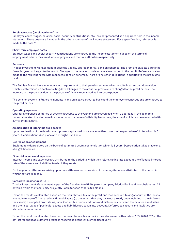#### **Employee costs (employee benefits)**

Employee costs (wages, salaries, social security contributions, etc.) are not presented as a separate item in the income statement. These costs are included in the other expenses of the income statement. For a specification, reference is made to the note 11.

#### **Short-term employee costs**

Salaries, wages and social security contributions are charged to the income statement based on the terms of employment, where they are due to employees and the tax authorities respectively.

#### **Pensions**

Triodos Investment Management applies the liability approach for all pension schemes. The premium payable during the financial year is charged to the result. Changes in the pension provision are also charged to the result. Reference is also made to the relevant notes with respect to pension schemes. There are no other obligations in addition to the premiums paid.

The Belgian Branch has a minimum yield requirement to their pension scheme which results in an actuarial provision which is determined on each reporting date. Changes to the actuarial provision are charged to the profit or loss. The increase in the provision due to the passage of time is recognised as interest expense.

The pension system in France is mandatory and on a pay-as-you-go basis and the employer's contributions are charged to the profit or loss.

#### **Operating expenses**

Operating expenses comprise of costs chargeable to the year and are recognised when a decrease in the economic potential related to a decrease in an asset or an increase of a liability has arisen, the size of which can be measured with sufficient reliability.

#### **Amortisation of intangible fixed assets**

Upon termination of the development phase, capitalised costs are amortised over their expected useful life, which is 5 years. Amortisation takes place on a straight-line basis.

#### **Depreciation of equipment**

Equipment is depreciated on the basis of estimated useful economic life, which is 3 years. Depreciation takes place on a straight-line basis.

#### **Financial income and expenses**

Interest income and expenses are attributed to the period to which they relate, taking into account the effective interest rate of the assets and liabilities to which they relate.

Exchange rate differences arising upon the settlement or conversion of monetary items are attributed to the period in which they are realised.

#### **Corporate income taxes (CIT)**

Triodos Investment Management is part of the fiscal unity with its parent company Triodos Bank and its subsidiaries. All entities within the fiscal unity are jointly liable for each other's CIT claims.

Tax on the result is calculated based on the result before tax in the profit and loss account, taking account of the losses available for set-off from previous financial years (to the extent that they have not already been included in the deferred tax assets). Exempted profit items, (non-)deductible items, additions and differences between the balance sheet value and the fiscal value of particular assets and liabilities are taken into account. Deferred tax assets and liabilities are stated at nominal value.

Tax on the result is calculated based on the result before tax in the income statement with a rate of 25% (2020: 25%). The set-off for applicable deferred taxes is recognised at the level of the fiscal unity.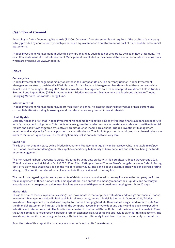# **Cash flow statement**

According to Dutch Accounting Standards (RJ 360.104) a cash flow statement is not required if the capital of a company is fully provided by another entity which prepares an equivalent cash flow statement as part of its consolidated financial statements.

Triodos Investment Management applies this exemption and as such does not prepare its own cash flow statement. The cash flow statement of Triodos Investment Management is included in the consolidated annual accounts of Triodos Bank which are available via [www.triodos.nl.](http://www.triodos.nl/)

## **Risks**

#### **Currency risk**

Triodos Investment Management mainly operates in the European Union. The currency risk for Triodos Investment Management relates to cash held in US dollars and British Pounds. Management has determined these currency risks do not need to be hedged. During 2021, Triodos Investment Management sold its seed capital investment held in Triodos Sterling Bond Impact Fund (GBP). In October 2021, Triodos Investment Management provided seed capital to Triodos Emerging Markets Renewable Energy Fund.

#### **Interest rate risk**

Triodos Investment Management has, apart from cash at banks, no interest-bearing receivables or non-current and current liabilities (including borrowings) and therefore incurs very limited interest rate risk.

#### **Liquidity risk**

Liquidity risk is the risk that Triodos Investment Management will not be able to attract the financial means necessary to satisfy its payment obligations. This risk is very low, given that under normal circumstances stable and positive financial results and cash flows triggered by relatively predictable fee income are at hand. Triodos Investment Management monitors and analyses its financial position on a monthly basis. The liquidity position is monitored on a bi-weekly basis in order to minimise liquidity risk. The resulting liquidity risk is considered to be very low.

#### **Credit risk**

This is the risk that any party owing Triodos Investment Management liquidity and/or a receivable is not able to (re)pay. For Triodos Investment Management this applies specifically to liquidity at bank accounts and debtors, being the funds under management.

The risk regarding bank accounts is partly mitigated by using only banks with high creditworthiness. At year-end 2021, 73% of cash was held at Triodos Bank (2020: 93%). Fitch Ratings affirmed Triodos Bank's Long-Term Issuer Default Rating (IDR) of 'BBB' with a Stable Outlook on the 4th of February 2022. The bank's sound capitalisation was considered a rating strength. The credit risk related to bank accounts is thus considered to be very low.

The credit risk regarding outstanding amounts of debtors is also considered to be very low since the company performs the management of these funds which, amongst others, also entails the management of their liquidity and solvency in accordance with prospectus' guidelines. Invoices are issued with payment deadlines ranging from 14 to 20 days.

#### **Market risk**

This is the risk of losses in positions arising from movements in market prices (valuation) and foreign currencies. Triodos Investment Management holds limited cash in foreign currency, hence this risk is limited. In October 2021, Triodos Investment Management provided seed capital to Triodos Emerging Markets Renewable Energy Fund (refer to note 3 of the financial statements). Through this fund, the company invests in private debt and equity and as such is exposed to valuation and interest rate risk. The fund is denominated in the United States Dollar, but the investment is made in Euro; thus, the company is not directly exposed to foreign exchange risk. Specific MB approval is given for this investment. The investment is monitored on a regular basis, with the intention ultimately to exit from the fund responsibly in the future.

As at the date of this report the company has no other 'seed capital' investments.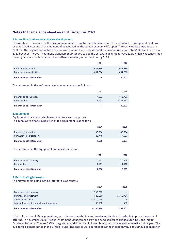# **Notes to the balance sheet as at 31 December 2021**

#### **1. Intangible fixed assets software development**

This relates to the costs for the development of software for the administration of investments. Development costs will be amortised, starting at the moment of use, based on the valued economic life span. The software was introduced in 2014 and the original estimated life span was 5 years. There was no need for an impairment on intangible fixed assets in 2020 because Triodos Investment Management intended to use the software up until at least 2021, which was longer than the original amortisation period. The software was fully amortised during 2021.

|                                                | 2021                      | 2020                      |
|------------------------------------------------|---------------------------|---------------------------|
| Purchase/cost value<br>Cumulative amortisation | 2,681,884<br>$-2,681,884$ | 2,681,884<br>$-2,664,282$ |
| Balance as at 31 December                      | -                         | 17,602                    |

The movement in the software development costs is as follows:

|                                         | 2021                | 2020                  |
|-----------------------------------------|---------------------|-----------------------|
| Balance as at 1 January<br>Amortisation | 17.602<br>$-17.602$ | 155,723<br>$-138.121$ |
| Balance as at 31 December               |                     | 17,602                |

#### **2. Equipment**

Equipment consists of telephones, monitors and computers.

The cumulative financial position of the equipment is as follows:

|                                                | 2021                | 2020                |
|------------------------------------------------|---------------------|---------------------|
| Purchase/cost value<br>Cumulative depreciation | 33.334<br>$-28.748$ | 33,334<br>$-17.637$ |
| <b>Balance as at 31 December</b>               | 4,586               | 15,697              |

The movement in the equipment balance is as follows:

|                                         | 2021                | 2020                |
|-----------------------------------------|---------------------|---------------------|
| Balance as at 1 January<br>Depreciation | 15.697<br>$-11.111$ | 26,809<br>$-11,112$ |
| Balance as at 31 December               | 4,586               | 15,697              |

#### **3. Participating interests**

The movement in participating interests is as follows:

|                                           | 2021         | 2020      |
|-------------------------------------------|--------------|-----------|
| Balance as at 1 January                   | 2,769,263    |           |
| Purchase of investment                    | 4,320,030    | 2,768,764 |
| Sale of investment                        | $-2,870,018$ |           |
| Value adjustments through profit and loss | 66.195       | 499       |
| <b>Balance as at 31 December</b>          | 4,285,470    | 2,769,263 |

Triodos Investment Management may provide seed capital to new investment funds in in order to improve the product offering. In November 2020, Triodos Investment Management provided seed capital to Triodos Sterling Bond Impact Fund (a sub-fund of Triodos SICAV I, registered and domiciled in Luxembourg) with the intention to exit within a year. The sub-fund is denominated in the British Pound. The shares were purchased at the Inception value of GBP 20 per share for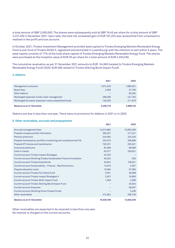a total amount of GBP 2,500,000. The shares were subsequently sold at GBP 19.45 per share for a total amount of GBP 2,431,250 in November 2021. Upon sale, the total net unrealised gain of EUR 101,254 was reclassified from unrealised to realised in the profit and loss account.

In October 2021, Triodos Investment Management provided seed capital to Triodos Emerging Markets Renewable Energy Fund (a sub-fund of Triodos SICAV II, registered and domiciled in Luxembourg) with the intention to exit within 5 years. The seed capital consists of 17% of the total share capital of Triodos Emerging Markets Renewable Energy Fund. The shares were purchased at the Inception value of EUR 25 per share for a total amount of EUR 4,320,030.

The cumulative revaluation as per 31 December 2021 amounts to EUR -34,560 (related to Triodos Emerging Markets Renewable Energy Fund) (2020: EUR 499 related to Triodos Sterling Bond Impact Fund).

#### **4. Debtors**

|                                                       | 2021      | 2020      |
|-------------------------------------------------------|-----------|-----------|
| Management contracts                                  | 1,972,229 | 1,683,551 |
| Board fees                                            | 2,000     | 37,739    |
| Other debtors                                         |           | 83,262    |
| Recharged expenses: funds under management            | 298,285   | 421,762   |
| Recharged formation expenses: newly established funds | 128,205   | 471,816   |
| <b>Balance as at 31 December</b>                      | 2,400,719 | 2,698,130 |

Debtors are due in less than one year. There were no provisions for debtors in 2021 or in 2020.

#### **5. Other receivables, accruals and prepayments**

|                                                                  | 2021       | 2020       |
|------------------------------------------------------------------|------------|------------|
| Accrued management fees                                          | 14,013,882 | 10,693,206 |
| Prepaid company profile information                              | 283,207    | 317,241    |
| Pension premiums                                                 | 249.384    | 234,240    |
| Prepaid maintenance, portfolio monitoring and compliance fee FIA | 235,070    | 258,696    |
| Prepaid ICT license and maintenance                              | 193,251    | 203,921    |
| Insurance premiums                                               | 82,568     | 88,908     |
| Cash in transit                                                  | 63,077     | 259,621    |
| <b>Current account Triodos Impact Strategies</b>                 | 40,225     |            |
| Current account Stichting Triodos Sustainable Finance Foundation | 39,292     | 500        |
| <b>Current account Triodos Groenfonds</b>                        | 20,824     | 106,621    |
| <b>Current account Sustainability - Finance - Real Economics</b> | 13,075     | 3,267      |
| Prepaid education costs                                          | 10,384     | 67,083     |
| <b>Current account Triodos Fair Share Fund</b>                   | 5,551      | 46,698     |
| Current account Triodos Impact Strategies II                     | 2,927      | 18,083     |
| Current account Triodos Multi Impact Fund                        | 1,648      | 4,508      |
| <b>Current account Triodos Sterling Bond Impact Fund</b>         |            | 40,544     |
| <b>Current account Empower</b>                                   |            | 38,037     |
| <b>Current account Stichting Hivos-Triodos Fonds</b>             |            | 2,439      |
| Other receivables                                                | 274,824    | 256,726    |
| <b>Balance as at 31 December</b>                                 | 15,529,189 | 12,640,339 |

Other receivables are expected to be received in less than one year. No interest is charged on the current accounts.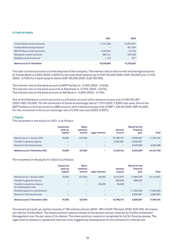#### **6. Cash at banks**

|                                      | 2021                     | 2020       |
|--------------------------------------|--------------------------|------------|
| <b>Triodos Bank current accounts</b> | 11,727,285               | 10,827,837 |
| Triodos Bank savings account         | $\overline{\phantom{0}}$ | 501,264    |
| <b>BNP Paribas current accounts</b>  | 3,339,534                | 22,132     |
| Rabobank current accounts            | 960,741                  | 878,189    |
| <b>ING Bank current account</b>      | 1.125                    | 871        |
| <b>Balance as at 31 December</b>     | 16,028,685               | 12,230,293 |

The cash in bank accounts is at free disposal of the company. The interest rate on the current and savings accounts at Triodos Bank is 0.00% (2020: 0.00%) for the total bank balance up to EUR 100,000 (2020: EUR 100,000) and -0.70% (2020: -0.70%) for a bank balance above EUR 100,000 (2020: EUR 100.000).

The interest rate on the bank account at BNP Paribas is -0.76% (2020: -0.00%). The interest rate on the bank accounts at Rabobank is -0.70% (2020: -0.67%). The interest rate on the bank account at ING Bank is -0.00% (2020: -0.72%).

One of the Rabobank current accounts is a US dollar account with a balance at year-end of USD 304,837 (2020: USD 216,008). For the conversion to Euros an exchange rate of 1.1315 (2020: 1.2289) was used. One of the BNP Paribas current accounts is a GBP account with a balance at year-end of GBP 1,230.38 (2020: GBP 20,000). For the conversion to Euros an exchange rate of 0.839 was used (2020: 0.9037).

#### **7. Equity**

The movement in the equity for 2021 is as follows:

|                                | <b>Issued and</b><br>paid-up<br>capital | <b>Share</b><br>premium<br>reserve | Legal reserves           | General<br>reserve | <b>Result for the</b><br>financial<br>vear | <b>Total</b> |
|--------------------------------|-----------------------------------------|------------------------------------|--------------------------|--------------------|--------------------------------------------|--------------|
| Balance as at 1 January 2021   | 18.500                                  | 327,550                            | -                        | 10.798.757         | 6,650,987                                  | 17,795,794   |
| Transfer to general reserve    | -                                       |                                    | -                        | 6.650.987          | $-6.650.987$                               |              |
| Result for the financial year  | -                                       | -                                  | -                        | -                  | 6.535.956                                  | 6,535,956    |
| Balance as at 31 December 2021 | 18.500                                  | 327.550                            | $\overline{\phantom{0}}$ | 17.449.744         | 6.535.956                                  | 24,331,750   |

#### The movement in the equity for 2020 is as follows:

|                                                                                              | <b>Issued and</b><br>paid-up<br>capital | <b>Share</b><br>premium<br>reserve       | Legal reserves                                  | General<br>reserve             | <b>Result for the</b><br>financial<br>year | <b>Total</b>               |
|----------------------------------------------------------------------------------------------|-----------------------------------------|------------------------------------------|-------------------------------------------------|--------------------------------|--------------------------------------------|----------------------------|
| Balance as at 1 January 2020<br>Transfer to general reserve<br>Transfer to statutory reserve | 18.500<br>-                             | 327.550<br>-<br>$\overline{\phantom{0}}$ | 66,300<br>$\overline{\phantom{0}}$<br>$-66,300$ | 9.742.931<br>989,526<br>66,300 | 11,989,526<br>$-989,526$<br>-              | 22,144,807                 |
| for development cost<br>Dividend payout to shareholders<br>Result for the financial year     |                                         | -<br>-                                   | -                                               | -<br>$-$                       | $-11,000,000$<br>6,650,987                 | $-11.000.000$<br>6,650,987 |
| Balance as at 31 December 2020                                                               | 18,500                                  | 327.550                                  | $\overline{\phantom{0}}$                        | 10.798.757                     | 6.650.987                                  | 17.795.794                 |

The issued and paid-up capital consists of 185 ordinary shares (2020: 185) of EUR 100 each (2020: EUR 100). All shares are held by Triodos Bank. The share premium reserve relates to the excess amount received by Triodos Investment Management over the par value of its shares. The share premium reserve is recognised in full for fiscal purposes. The legal reserve relates to capitalised internal costs triggered by development of new software for internal use.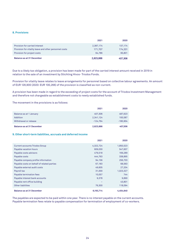#### **8. Provisions**

|                                                        | 2021      | 2020    |
|--------------------------------------------------------|-----------|---------|
| Provision for carried interest                         | 2,387,174 | 137,174 |
| Provision for vitality leave and other personnel costs | 171.707   | 174.331 |
| Provision for project costs                            | 64.786    | 95,801  |
| Balance as at 31 December                              | 2,623,666 | 407,306 |

Due to a likely tax obligation, a provision has been made for part of the carried interest amount received in 2019 in relation to the sale of an investment by Stichting Hivos- Triodos Fonds.

Provision for vitality leave relates to leave arrangements for personnel based on collective labour agreements. An amount of EUR 128,900 (2020: EUR 100,266) of the provision is classified as non-current.

A provision has been made in regard to the exceeding of project costs for the account of Triodos Investment Management and therefore not chargeable as establishment costs to newly established funds.

The movement in the provisions is as follows:

|                                            | 2021                 | 2020               |
|--------------------------------------------|----------------------|--------------------|
| Balance as at 1 January<br><b>Addition</b> | 407,306<br>2,341,124 | 487,623<br>100,587 |
| Withdrawal or release                      | $-124.764$           | $-180,904$         |
| Balance as at 31 December                  | 2,623,666            | 407,306            |

#### **9. Other short-term liabilities, accruals and deferred income**

|                                            | 2021      | 2020      |
|--------------------------------------------|-----------|-----------|
| <b>Current accounts Triodos Group</b>      | 4,322,724 | 1,850,523 |
| Payable vacation hours                     | 609,030   | 547,607   |
| Payable costs advisors                     | 479,518   | 169,289   |
| Payable costs                              | 444,763   | 338,895   |
| Payable company profile information        | 94,156    | 256,703   |
| Payable costs on behalf of related parties | 67,183    | 68,563    |
| Payable external audit costs               | 49,605    | 27,204    |
| Payroll tax                                | 31,000    | 1,023,327 |
| Payable termination fees                   | 10,057    | 744       |
| Payable interest bank accounts             | 9,378     | 9,890     |
| Payable rent office building               |           | 43,801    |
| <b>Other liabilities</b>                   | 76,300    | 118,094   |
| <b>Balance as at 31 December</b>           | 6,193,714 | 4,454,640 |

The payables are expected to be paid within one year. There is no interest payable on the current accounts. Payable termination fees relate to payable compensation for termination of employment of co-workers.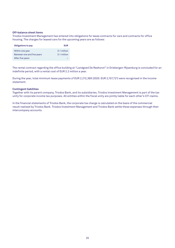#### **Off-balance sheet items**

Triodos Investment Management has entered into obligations for lease contracts for cars and contracts for office housing. The charges for leased cars for the upcoming years are as follows:

| <b>Obligations to pay</b>  | EUR         |
|----------------------------|-------------|
| Within one year            | 0.1 million |
| Between one and five years | 0.1 million |
| After five years           |             |

The rental contract regarding the office building at "Landgoed De Reehorst" in Driebergen-Rijsenburg is concluded for an indefinite period, with a rental cost of EUR 2.2 million a year.

During the year, total minimum lease payments of EUR 2,212,368 (2020: EUR 2,157,721) were recognised in the income statement.

#### **Contingent liabilities**

Together with its parent company, Triodos Bank, and its subsidiaries, Triodos Investment Management is part of the tax unity for corporate income tax purposes. All entities within the fiscal unity are jointly liable for each other's CIT claims.

In the financial statements of Triodos Bank, the corporate tax charge is calculated on the basis of the commercial result realised by Triodos Bank. Triodos Investment Management and Triodos Bank settle these expenses through their intercompany accounts.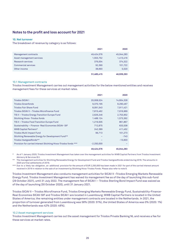# **Notes to the profit and loss account for 2021**

#### **10. Net turnover**

The breakdown of revenue by category is as follows:

|                            | 2021       | 2020       |
|----------------------------|------------|------------|
| Management contracts       | 49,424,576 | 45,044,283 |
| Asset management services  | 1,553,752  | 1,413,416  |
| <b>Research services</b>   | 376,004    | 374,322    |
| <b>Commercial services</b> | 92,390     | 101,722    |
| Other income               | 38,693     | 5,520      |
|                            | 51,485,415 | 46,939,263 |

#### 10.1 Management contracts

Triodos Investment Management carries out management activities for the below mentioned entities and receives management fees for these services at market rates.

|                                                                  | 2021         | 2020       |
|------------------------------------------------------------------|--------------|------------|
| <b>Triodos SICAV I</b>                                           | 20,008,524   | 14,604,328 |
| <b>Triodos Groenfonds</b>                                        | 9,370,195    | 8,290,467  |
| <b>Triodos Fair Share Fund</b>                                   | 8,091,543    | 7,911,421  |
| Triodos SICAV II - Triodos Microfinance Fund                     | 7,815,462    | 7,916,969  |
| TIS II - Triodos Energy Transition Europe Fund                   | 2,626,246    | 2,753,952  |
| <b>Stichting Hivos-Triodos fonds</b>                             | 1.488.124    | 1,573,362  |
| TIS II - Triodos Food Transition Europe Fund                     | 1,219,505    | 861,867    |
| Sustainability - Finance- Real Economies SICAV- SIF              | 712,875      | 633,538    |
| WWB Capital Partners*                                            | 242,389      | 411,452    |
| Triodos Multi Impact Fund                                        | 99,713       | 101,273    |
| Stichting Renewable Energy for Development Fund**                |              | $-743$     |
| Triodos Vastgoedfonds**                                          |              | $-13,603$  |
| Provision for carried interest Stichting Hivos-Triodos fonds *** | $-2.250,000$ |            |
|                                                                  | 49,424,576   | 45,044,283 |

As of 1 January 2020, Triodos Investment Management has taken over the management activities for WWB Capital Partners from Triodos Investment Advisory & Services B.V.

The management activities for Stichting Renewable Energy for Development Fund and Triodos Vastgoedfonds ended during 2019. The amounts in 2020 are final settlements of 2019.

\*\*\* Due to a likely tax obligation, an additional provision for the amount of EUR 2,250,000 has been made in 2021 for part of the carried interest amount received in 2019 in relation to the sale of an investment by Stichting Hivos-Triodos Fonds. Please also refer to note 8.

Triodos Investment Management also conducts management activities for SICAV II –Triodos Emerging Markets Renewable Energy Fund. Triodos Investment Management has waived its management fee as of the day of launching this sub-fund (29 October 2021), until 31 July 2022. The management fee of SICAV I – Triodos Sterling Bond Impact Fund was waived as of the day of launching (30 October 2020), until 31 January 2021.

Triodos SICAV II – Triodos Microfinance Fund, Triodos Emerging Markets Renewable Energy Fund, Sustainability-Finance-Real Economies SICAV-SIF and Triodos SICAV I are located in Luxembourg; WWB Capital Partners is located in the United States of America; the remaining entities under management contracts are located in the Netherlands. In 2021, the proportion of turnover generated from Luxembourg was 58% (2020: 51%), the United States of America was 0% (2020: 1%) and the Netherlands was 42% (2020: 48%).

#### 10.2 Asset management services

Triodos Investment Management carries out the asset management for Triodos Private Banking NL and receives a fee for these services at market rates.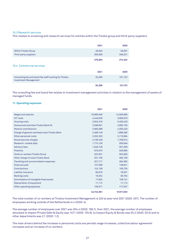#### 10.3 Research services

This relates to screening and research services for entities within the Triodos group and third-party suppliers.

|                                                                                        | 2021              | 2020              |
|----------------------------------------------------------------------------------------|-------------------|-------------------|
| <b>Within Triodos Group</b><br>Third-party suppliers                                   | 26,004<br>350,000 | 26,001<br>348,321 |
| 10.4 Commercial services                                                               | 376,004           | 374,322           |
|                                                                                        | 2021              | 2020              |
| Consulting fee and board fee staff working for Triodos<br><b>Investment Management</b> | 92,390            | 101,722           |
|                                                                                        | 92,390            | 101,722           |

The consulting fee and board fee relates to investment management activities in relation to the management of assets of managed funds.

#### **11. Operating expenses**

|                                               | 2021       | 2020       |
|-----------------------------------------------|------------|------------|
| <b>Wages and salaries</b>                     | 16,685,946 | 14,505,895 |
| <b>ICT costs</b>                              | 4,449,030  | 3,906,919  |
| <b>Housing costs</b>                          | 3,504,518  | 3,450,420  |
| Outsourced activities Triodos Bank NL         | 3,288,831  | 2,892,193  |
| <b>Pension contributions</b>                  | 2,660,388  | 2,350,420  |
| Charge of general overhead costs Triodos Bank | 2,489,748  | 1,898,280  |
| Other personnel costs                         | 2,262,320  | 3,115,964  |
| Social security charges                       | 2,190,428  | 1,709,014  |
| Research-market data                          | 1,774,126  | 936,946    |
| <b>Advisory fees</b>                          | 1,048,148  | 551,629    |
| Publicity                                     | 675,075    | 528,965    |
| Hired co-workers Triodos Group                | 323,301    | 503,695    |
| Other charge of costs Triodos Bank            | 531,736    | 482,736    |
| Travelling and accommodation expenses         | 327,717    | 394,655    |
| <b>External audit</b>                         | 157,008    | 138,621    |
| Contributions                                 | 142,138    | 109,755    |
| Liability insurance                           | 85,816     | 78,031     |
| <b>Banking costs</b>                          | 18,302     | 36,794     |
| Amortisation of intangible fixed assets       | 17,602     | 138,121    |
| Depreciation of equipment                     | 11,112     | 11,112     |
| Other operating expenses                      | 100,071    | 177,037    |
|                                               | 42,743,361 | 37,917,202 |

The total number of co-workers at Triodos Investment Management is 220 at year-end 2021 (2020: 207). The number of employees working outside of the Netherlands is 4 (2020: 4).

The average number of employees over 2021 was 204.4 (2020: 180.1). Over 2021, the average number of employees allocated to Impact Private Debt & Equity was 147.1 (2020: 125.9), to Impact Equity & Bonds was 55.2 (2020: 53.0) and to other departments was 2.1 (2020: 1.2).

The main drivers behind the increase in personnel costs are periodic wage increases, collective labour agreement increases and an increase of co-workers.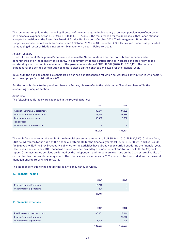The remuneration paid to the managing directors of the company, including salary expenses, pension, use of company car and social expenses, was EUR 624,619 (2020: EUR 672,307). The main reason for the decrease is that Jacco Minnaar accepted a position on the Executive Board of Triodos Bank as per 1 October 2021. The Management Board thus temporarily consisted of two directors between 1 October 2021 and 31 December 2021. Hadewych Kuiper was promoted to managing director of Triodos Investment Management as per 1 February 2022.

#### *Pension scheme*

Triodos Investment Management's pension scheme in the Netherlands is a defined contribution scheme and is administered by an independent third party. The commitment to the participating co-workers consists of paying the outstanding contribution to a maximum of the gross annual salary of EUR 112,189 (2020: EUR 110,111). The pension expenses for the defined contribution scheme is based on the contributions owed for the financial year.

In Belgium the pension scheme is considered a defined benefit scheme for which co-workers' contribution is 2% of salary and the employer's contribution is 6%.

For the contributions to the pension scheme in France, please refer to the table under "Pension schemes" in the accounting principles section.

#### *Audit fees*

The following audit fees were expensed in the reporting period:

|                                   | 2021    | 2020    |
|-----------------------------------|---------|---------|
| Audit of the financial statements | 85,941  | 87,382  |
| Other assurance services: ISAE    | 31,628  | 48,389  |
| Other assurance services          | 39,439  | 2,850   |
| <b>Tax services</b>               |         |         |
| Other non-assurance services      | -       |         |
|                                   | 157,008 | 138,621 |

The audit fees concerning the audit of the financial statements amount to EUR 85,941 (2020: EUR 87,382). Of these fees, EUR 77,951 relates to the audit of the financial statements for the financial year 2021 (2020: EUR 68,011) and EUR 7,990 for 2020 (2019: EUR 10,810), irrespective of whether the activities have already been carried out during the financial year. Other assurance services: ISAE concerns procedures performed by the independent auditor for the ISAE 3402 type II report. Other assurance services performed by the independent auditor concern overruns on the 2020 external audits of certain Triodos funds under management. The other assurance services in 2020 concerns further work done on the asset management report of HIVOS for 2018.

The independent auditor has not rendered any consultancy services.

#### **12. Financial Income**

|                            | 2021   | 2020 |
|----------------------------|--------|------|
| Exchange rate differences  | 10,243 |      |
| Other interest expenditure | 504    |      |
|                            | 10,747 |      |

#### **13. Financial expenses**

|                                | 2021    | 2020    |
|--------------------------------|---------|---------|
| Paid interest on bank accounts | 106,361 | 123,319 |
| Exchange rate differences      |         | 24,210  |
| Other interest expenditure     | 3.196   | 948     |
|                                | 109,557 | 148,477 |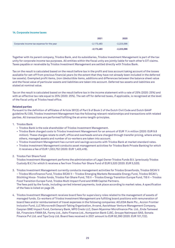#### **14. Corporate income taxes**

|                                           | 2021         | 2020         |
|-------------------------------------------|--------------|--------------|
| Corporate income tax expense for the year | $-2.173.483$ | $-2,223,096$ |
|                                           | $-2,173,483$ | $-2,223,096$ |

Together with its parent company, Triodos Bank, and its subsidiaries, Triodos Investment Management is part of the tax unity for corporate income tax purposes. All entities within the fiscal unity are jointly liable for each other's CIT claims. Taxes payable or receivable by Triodos Investment Management are settled directly with Triodos Bank.

Tax on the result is calculated based on the result before tax in the profit and loss account taking account of the losses available for set-off from previous financial years (to the extent that they have not already been included in the deferred tax assets). Exempted profit items, (non-)deductible items, additions and differences between the balance sheet value and the fiscal value of particular assets and liabilities are taken into account. Deferred tax assets and liabilities are stated at nominal value.

Tax on the result is calculated based on the result before tax in the income statement with a rate of 25% (2020: 25%) and with an effective tax rate equal to 25% (2020: 25%). The set-off for deferred taxes, if applicable, is recognised at the level of the fiscal unity at Triodos head office.

#### **Related parties**

Pursuant to the definition of affiliates of Article 381(3) of Part 9 of Book 2 of the Dutch Civil Code and Dutch GAAP guideline RJ 330, Triodos Investment Management has the following relevant relationships and transactions with related parties. All transactions are performed fulfilling the at-arms-length-principles.

#### 1. Triodos Bank

- Triodos Bank is the sole shareholder of Triodos Investment Management.
- Triodos Bank charged costs to Triodos Investment Management for an amount of EUR 11.4 million (2020: EUR 9.8 million). These charges relate to staff, office and overheads and are charged through transfer pricing, where among others, managed assets and number of co-workers are taken into account.
- Triodos Investment Management has current and savings accounts with Triodos Bank at market standard rates.
- Triodos Investment Management conducts asset management activities for Triodos Bank Private Banking for which it receives a fee of EUR 1,553,752 (2020: EUR 1,403,416).

2. Triodos Fair Share Fund

Triodos Investment Management performs the administration of Legal Owner Triodos Funds B.V. (previously Triodos Custody B.V.) for which it receives a fee from Triodos Fair Share Fund of EUR 5,520 (2020: EUR 5,520).

- 3. Triodos Investment Management currently conducts management activities for Triodos Groenfonds, Triodos SICAV II – Triodos Microfinance Fund, Triodos SICAV II – Triodos Emerging Markets Renewable Energy Fund, Triodos SICAV I, Stichting Hivos- Triodos fonds, Triodos Fair Share Fund, TIS II – Triodos Energy Transition Europe Fund, TIS II – Triodos Food Transition Europe Fund, Triodos Multi Impact Fund and WWB Capital Partners. The fees paid by the funds, including carried interest payments, took place according to market rates. A specification of the fees is listed on page 26.
- 4. Triodos Investment Management receives board fees for supervisory roles related to the management of assets of managed funds. Co-workers of Triodos Investment Management are fulfilling board positions with remuneration of board fees and/or reimbursement of travel expenses in the following companies: ACLEDA Bank Plc., Accion Frontier Inclusion Fund, LLC Microcredit Deposit-Taking Organization, Arvand, Aavishkaar Venture Management Company, Caspian SME Impact Fund, Centenary Bank, MFO Credo LLC, Dawn Myanmar Microfinance Pte. Ltd., Enda Tamweel SA, Financiers FAMA SA, Farmy Ltd., Ashv Finance Ltd., Kompanion Bank CJSC, Groupe Natimpact SAS, Sonata Finance Pvt Ltd. and Tipa Corp Ltd. Board fees received in 2021 amount to EUR 92,390 (2020: EUR 101,722).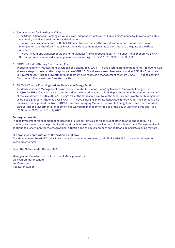#### 5. Global Alliance for Banking on Values

- The Global Alliance for Banking on Values is an independent network of banks using finance to deliver sustainable economic, social and environmental development.
- Triodos Bank is a member of the Global Alliance. Triodos Bank is the sole shareholder of Triodos Investment Management and therefore Triodos Investment Management also aims to contribute to the goals of the Global Alliance.
- Triodos Investment Management is the Fund Manager (AIFM) of Sustainability Finance- Real Economies SICAV-SIF (Sapphire) and received a management fee amounting to EUR 712,875 (2020: EUR 633,538).

#### 6. SICAV I - Triodos Sterling Bond Impact Fund

Triodos Investment Management provided seed capital to SICAV I - Triodos Sterling Bond Impact Fund. 125,000 KI-Cap shares were purchased at the inception value of GBP 20. The shares were subsequently sold at GBP 19.45 per share in November 2021. Triodos Investment Management also receives a management fee from SICAV I – Triodos Sterling Bond Impact Fund- see item 3 related parties.

7. SICAV II - Triodos Emerging Markets Renewable Energy Fund

Triodos Investment Management provided seed capital to Triodos Emerging Markets Renewable Energy Fund. 172,801.20 EUR-I-Cap shares were purchased at the Inception value of EUR 25 per share. At 31 December the value of the investment is EUR 4,285,470, being 17% of the total share capital of the fund. Triodos Investment Management exercises significant influence over SICAV II – Triodos Emerging Markets Renewable Energy Fund. The company also receives a management fee from SICAV II – Triodos Emerging Markets Renewable Energy Fund - see item 3 related parties. Triodos Investment Management has waived its management fee as of the day of launching this sub-fund (29 October 2021), until 31 July 2022.

#### **Subsequent events**

Triodos Investment Management considers the crisis in Ukraine a significant event after balance sheet date. The company's approach is to be prudent as it is yet unclear how the crisis will unfold. Triodos Investment Management will continue to closely monitor the geographical situation and the developments on the financial markets moving forward.

#### **The proposed appropriation of the profit is as follows:**

The Management Board of Triodos Investment Management proposes to add EUR 6,535,956 to the general reserve (retained earnings).

Zeist, the Netherlands, 16 June 2022

Management Board of Triodos Investment Management B.V. Dick van Ommeren (chair) Kor Bosscher Hadewych Kuiper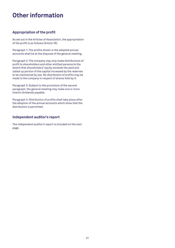# **Other information**

# **Appropriation of the profit**

As set out in the Articles of Association, the appropriation of the profit is as follows (Article 16):

Paragraph 1: The profits shown in the adopted annual accounts shall be at the disposal of the general meeting.

Paragraph 2: The company may only make distributions of profit to shareholders and other entitled persons to the extent that shareholders' equity exceeds the paid and called up portion of the capital increased by the reserves to be maintained by law. No distribution of profits may be made to the company in respect of shares held by it.

Paragraph 3: Subject to the provisions of the second paragraph, the general meeting may make one or more interim dividends payable.

Paragraph 4: Distribution of profits shall take place after the adoption of the annual accounts which show that the distribution is permitted.

# **Independent auditor's report**

The independent auditor's report is included on the next page.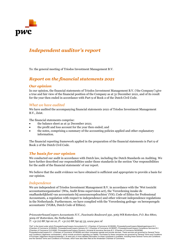

# *Independent auditor's report*

To: the general meeting of Triodos Investment Management B.V.

# *Report on the financial statements 2021*

## *Our opinion*

In our opinion, the financial statements of Triodos Investment Management B.V. ('the Company') give a true and fair view of the financial position of the Company as at 31 December 2021, and of its result for the year then ended in accordance with Part 9 of Book 2 of the Dutch Civil Code.

# *What we have audited*

We have audited the accompanying financial statements 2021 of Triodos Investment Management B.V., Zeist.

The financial statements comprise:

- the balance sheet as at 31 December 2021;
- the profit and loss account for the year then ended; and
- the notes, comprising a summary of the accounting policies applied and other explanatory information.

The financial reporting framework applied in the preparation of the financial statements is Part 9 of Book 2 of the Dutch Civil Code.

# *The basis for our opinion*

We conducted our audit in accordance with Dutch law, including the Dutch Standards on Auditing. We have further described our responsibilities under those standards in the section 'Our responsibilities for the audit of the financial statements' of our report.

We believe that the audit evidence we have obtained is sufficient and appropriate to provide a basis for our opinion.

## *Independence*

We are independent of Triodos Investment Management B.V. in accordance with the 'Wet toezicht accountantsorganisaties' (Wta, Audit firms supervision act), the 'Verordening inzake de onafhankelijkheid van accountants bij assuranceopdrachten' (ViO, Code of Ethics for Professional Accountants, a regulation with respect to independence) and other relevant independence regulations in the Netherlands. Furthermore, we have complied with the 'Verordening gedrags- en beroepsregels accountants' (VGBA, Dutch Code of Ethics).

*PricewaterhouseCoopers Accountants N.V., Fascinatio Boulevard 350, 3065 WB Rotterdam, P.O. Box 8800, 3009 AV Rotterdam, the Netherlands T: +31 (0) 88 792 00 10, F: +31 (0) 88 792 95 33, www.pwc.nl*

'PwC' is the brand under which PricewaterhouseCoopers Accountants N.V. (Chamber of Commerce 34180285), PricewaterhouseCoopers Belastingadviseurs N.V. (Chamber of Commerce 34180284), PricewaterhouseCoopers Advisory N.V. (Chamber of Commerce 34180287), PricewaterhouseCoopers Compliance Services B.V. (Chamber of Commerce 51414406), PricewaterhouseCoopers Pensions, Actuarial & Insurance Services B.V. (Chamber of Commerce 54226368),<br>PricewaterhouseCoopers B.V. (Chamber of Commerce 34180289) and other companies operate an and Conditions ('algemene voorwaarden'), which include provisions regarding our liability. Purchases by these companies are governed by General Terms and Conditions<br>of Purchase ('algemene inkoopvoorwaarden'). At www.pwc.n and the General Terms and Conditions of Purchase, which have also been filed at the Amsterdam Chamber of Commerce.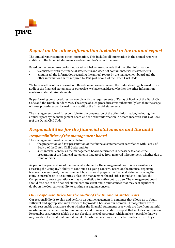

# *Report on the other information included in the annual report*

The annual report contains other information. This includes all information in the annual report in addition to the financial statements and our auditor's report thereon.

Based on the procedures performed as set out below, we conclude that the other information:

- is consistent with the financial statements and does not contain material misstatements;
- contains all the information regarding the annual report by the management board and the other information that is required by Part 9 of Book 2 of the Dutch Civil Code.

We have read the other information. Based on our knowledge and the understanding obtained in our audit of the financial statements or otherwise, we have considered whether the other information contains material misstatements.

By performing our procedures, we comply with the requirements of Part 9 of Book 2 of the Dutch Civil Code and the Dutch Standard 720. The scope of such procedures was substantially less than the scope of those procedures performed in our audit of the financial statements.

The management board is responsible for the preparation of the other information, including the annual report by the management board and the other information in accordance with Part 9 of Book 2 of the Dutch Civil Code.

# *Responsibilities for the financial statements and the audit*

# *Responsibilities of the management board*

The management board is responsible for:

- the preparation and fair presentation of the financial statements in accordance with Part 9 of Book 2 of the Dutch Civil Code; and for
- such internal control as the management board determines is necessary to enable the preparation of the financial statements that are free from material misstatement, whether due to fraud or error.

As part of the preparation of the financial statements, the management board is responsible for assessing the Company's ability to continue as a going-concern. Based on the financial reporting framework mentioned, the management board should prepare the financial statements using the going-concern basis of accounting unless the management board either intends to liquidate the Company or to cease operations or has no realistic alternative but to do so. The management board should disclose in the financial statements any event and circumstances that may cast significant doubt on the Company's ability to continue as a going concern.

# *Our responsibilities for the audit of the financial statements*

Our responsibility is to plan and perform an audit engagement in a manner that allows us to obtain sufficient and appropriate audit evidence to provide a basis for our opinion. Our objectives are to obtain reasonable assurance about whether the financial statements as a whole are free from material misstatement, whether due to fraud or error and to issue an auditor's report that includes our opinion. Reasonable assurance is a high but not absolute level of assurance, which makes it possible that we may not detect all material misstatements. Misstatements may arise due to fraud or error. They are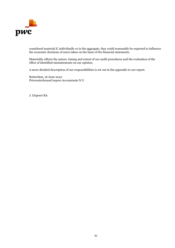

considered material if, individually or in the aggregate, they could reasonably be expected to influence the economic decisions of users taken on the basis of the financial statements.

Materiality affects the nature, timing and extent of our audit procedures and the evaluation of the effect of identified misstatements on our opinion.

A more detailed description of our responsibilities is set out in the appendix to our report.

Rotterdam, 16 June 2022 PricewaterhouseCoopers Accountants N.V.

J. IJspeert RA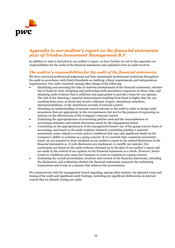

# *Appendix to our auditor's report on the financial statements 2021 of Triodos Investment Management B.V.*

In addition to what is included in our auditor's report, we have further set out in this appendix our responsibilities for the audit of the financial statements and explained what an audit involves.

# *The auditor's responsibilities for the audit of the financial statements*

We have exercised professional judgement and have maintained professional scepticism throughout the audit in accordance with Dutch Standards on Auditing, ethical requirements and independence requirements. Our audit consisted, among other things of the following:

- Identifying and assessing the risks of material misstatement of the financial statements, whether due to fraud or error, designing and performing audit procedures responsive to those risks, and obtaining audit evidence that is sufficient and appropriate to provide a basis for our opinion. The risk of not detecting a material misstatement resulting from fraud is higher than for one resulting from error, as fraud may involve collusion, forgery, intentional omissions, misrepresentations, or the intentional override of internal control.
- Obtaining an understanding of internal control relevant to the audit in order to design audit procedures that are appropriate in the circumstances, but not for the purpose of expressing an opinion on the effectiveness of the Company's internal control.
- Evaluating the appropriateness of accounting policies used and the reasonableness of accounting estimates and related disclosures made by the management board.
- Concluding on the appropriateness of the management board's use of the going-concern basis of accounting, and based on the audit evidence obtained, concluding whether a material uncertainty exists related to events and/or conditions that may cast significant doubt on the Company's ability to continue as a going concern. If we conclude that a material uncertainty exists, we are required to draw attention in our auditor's report to the related disclosures in the financial statements or, if such disclosures are inadequate, to modify our opinion. Our conclusions are based on the audit evidence obtained up to the date of our auditor's report and are made in the context of our opinion on the financial statements as a whole. However, future events or conditions may cause the Company to cease to continue as a going concern.
- Evaluating the overall presentation, structure and content of the financial statements, including the disclosures, and evaluating whether the financial statements represent the underlying transactions and events in a manner that achieves fair presentation.

We communicate with the management board regarding, among other matters, the planned scope and timing of the audit and significant audit findings, including any significant deficiencies in internal control that we identify during our audit.